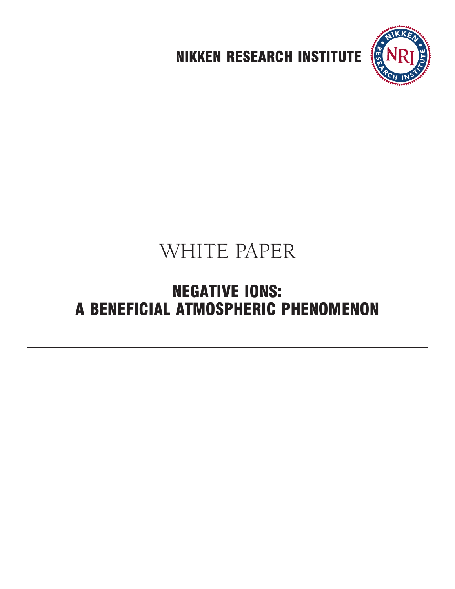

# WHITE PAPER

## **NEGATIVE IONS: A BENEFICIAL ATMOSPHERIC PHENOMENON**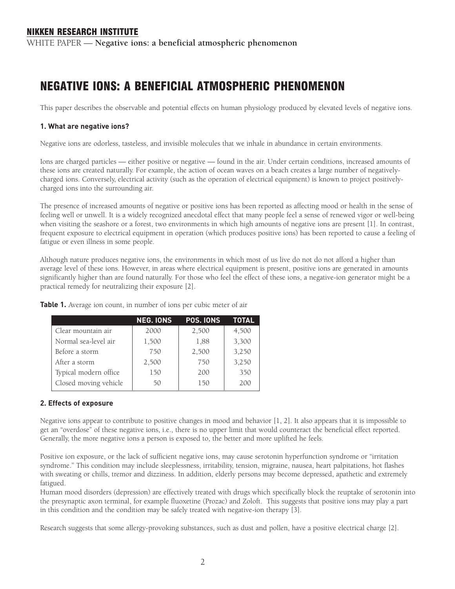WHITE PAPER — **Negative ions: a beneficial atmospheric phenomenon**

### **NEGATIVE IONS: A BENEFICIAL ATMOSPHERIC PHENOMENON**

This paper describes the observable and potential effects on human physiology produced by elevated levels of negative ions.

#### **1. What are negative ions?**

Negative ions are odorless, tasteless, and invisible molecules that we inhale in abundance in certain environments.

Ions are charged particles — either positive or negative — found in the air. Under certain conditions, increased amounts of these ions are created naturally. For example, the action of ocean waves on a beach creates a large number of negativelycharged ions. Conversely, electrical activity (such as the operation of electrical equipment) is known to project positivelycharged ions into the surrounding air.

The presence of increased amounts of negative or positive ions has been reported as affecting mood or health in the sense of feeling well or unwell. It is a widely recognized anecdotal effect that many people feel a sense of renewed vigor or well-being when visiting the seashore or a forest, two environments in which high amounts of negative ions are present [1]. In contrast, frequent exposure to electrical equipment in operation (which produces positive ions) has been reported to cause a feeling of fatigue or even illness in some people.

Although nature produces negative ions, the environments in which most of us live do not do not afford a higher than average level of these ions. However, in areas where electrical equipment is present, positive ions are generated in amounts significantly higher than are found naturally. For those who feel the effect of these ions, a negative-ion generator might be a practical remedy for neutralizing their exposure [2].

|                       | <b>NEG. IONS</b> | POS. IONS | TOTAL |
|-----------------------|------------------|-----------|-------|
| Clear mountain air    | 2000             | 2,500     | 4,500 |
| Normal sea-level air  | 1,500            | 1,88      | 3,300 |
| Before a storm        | 750              | 2,500     | 3,250 |
| After a storm         | 2,500            | 750       | 3,250 |
| Typical modern office | 150              | 200       | 350   |
| Closed moving vehicle | 50               | 150       | 200   |

**Table 1.** Average ion count, in number of ions per cubic meter of air

#### **2. Effects of exposure**

Negative ions appear to contribute to positive changes in mood and behavior [1, 2]. It also appears that it is impossible to get an "overdose" of these negative ions, i.e., there is no upper limit that would counteract the beneficial effect reported. Generally, the more negative ions a person is exposed to, the better and more uplifted he feels.

Positive ion exposure, or the lack of sufficient negative ions, may cause serotonin hyperfunction syndrome or "irritation syndrome." This condition may include sleeplessness, irritability, tension, migraine, nausea, heart palpitations, hot flashes with sweating or chills, tremor and dizziness. In addition, elderly persons may become depressed, apathetic and extremely fatigued.

Human mood disorders (depression) are effectively treated with drugs which specifically block the reuptake of serotonin into the presynaptic axon terminal, for example fluoxetine (Prozac) and Zoloft. This suggests that positive ions may play a part in this condition and the condition may be safely treated with negative-ion therapy [3].

Research suggests that some allergy-provoking substances, such as dust and pollen, have a positive electrical charge [2].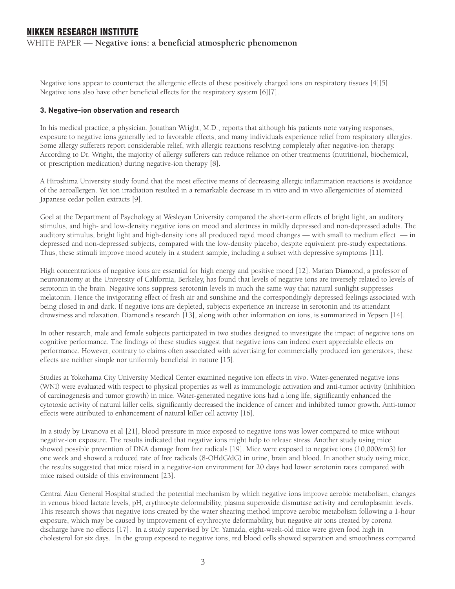WHITE PAPER — **Negative ions: a beneficial atmospheric phenomenon**

Negative ions appear to counteract the allergenic effects of these positively charged ions on respiratory tissues [4][5]. Negative ions also have other beneficial effects for the respiratory system [6][7].

#### **3. Negative-ion observation and research**

In his medical practice, a physician, Jonathan Wright, M.D., reports that although his patients note varying responses, exposure to negative ions generally led to favorable effects, and many individuals experience relief from respiratory allergies. Some allergy sufferers report considerable relief, with allergic reactions resolving completely after negative-ion therapy. According to Dr. Wright, the majority of allergy sufferers can reduce reliance on other treatments (nutritional, biochemical, or prescription medication) during negative-ion therapy [8].

A Hiroshima University study found that the most effective means of decreasing allergic inflammation reactions is avoidance of the aeroallergen. Yet ion irradiation resulted in a remarkable decrease in in vitro and in vivo allergenicities of atomized Japanese cedar pollen extracts [9].

Goel at the Department of Psychology at Wesleyan University compared the short-term effects of bright light, an auditory stimulus, and high- and low-density negative ions on mood and alertness in mildly depressed and non-depressed adults. The auditory stimulus, bright light and high-density ions all produced rapid mood changes — with small to medium effect — in depressed and non-depressed subjects, compared with the low-density placebo, despite equivalent pre-study expectations. Thus, these stimuli improve mood acutely in a student sample, including a subset with depressive symptoms [11].

High concentrations of negative ions are essential for high energy and positive mood [12]. Marian Diamond, a professor of neuroanatomy at the University of California, Berkeley, has found that levels of negative ions are inversely related to levels of serotonin in the brain. Negative ions suppress serotonin levels in much the same way that natural sunlight suppresses melatonin. Hence the invigorating effect of fresh air and sunshine and the correspondingly depressed feelings associated with being closed in and dark. If negative ions are depleted, subjects experience an increase in serotonin and its attendant drowsiness and relaxation. Diamond's research [13], along with other information on ions, is summarized in Yepsen [14].

In other research, male and female subjects participated in two studies designed to investigate the impact of negative ions on cognitive performance. The findings of these studies suggest that negative ions can indeed exert appreciable effects on performance. However, contrary to claims often associated with advertising for commercially produced ion generators, these effects are neither simple nor uniformly beneficial in nature [15].

Studies at Yokohama City University Medical Center examined negative ion effects in vivo. Water-generated negative ions (WNI) were evaluated with respect to physical properties as well as immunologic activation and anti-tumor activity (inhibition of carcinogenesis and tumor growth) in mice. Water-generated negative ions had a long life, significantly enhanced the cytotoxic activity of natural killer cells, significantly decreased the incidence of cancer and inhibited tumor growth. Anti-tumor effects were attributed to enhancement of natural killer cell activity [16].

In a study by Livanova et al [21], blood pressure in mice exposed to negative ions was lower compared to mice without negative-ion exposure. The results indicated that negative ions might help to release stress. Another study using mice showed possible prevention of DNA damage from free radicals [19]. Mice were exposed to negative ions (10,000/cm3) for one week and showed a reduced rate of free radicals (8-OHdG/dG) in urine, brain and blood. In another study using mice, the results suggested that mice raised in a negative-ion environment for 20 days had lower serotonin rates compared with mice raised outside of this environment [23].

Central Aizu General Hospital studied the potential mechanism by which negative ions improve aerobic metabolism, changes in venous blood lactate levels, pH, erythrocyte deformability, plasma superoxide dismutase activity and ceruloplasmin levels. This research shows that negative ions created by the water shearing method improve aerobic metabolism following a 1-hour exposure, which may be caused by improvement of erythrocyte deformability, but negative air ions created by corona discharge have no effects [17]. In a study supervised by Dr. Yamada, eight-week-old mice were given food high in cholesterol for six days. In the group exposed to negative ions, red blood cells showed separation and smoothness compared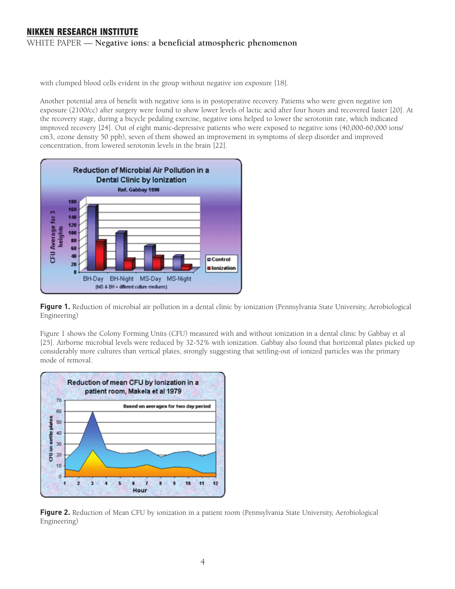WHITE PAPER — **Negative ions: a beneficial atmospheric phenomenon**

with clumped blood cells evident in the group without negative ion exposure [18].

Another potential area of benefit with negative ions is in postoperative recovery. Patients who were given negative ion exposure (2100/cc) after surgery were found to show lower levels of lactic acid after four hours and recovered faster [20]. At the recovery stage, during a bicycle pedaling exercise, negative ions helped to lower the serotonin rate, which indicated improved recovery [24]. Out of eight manic-depressive patients who were exposed to negative ions (40,000-60,000 ions/ cm3, ozone density 50 ppb), seven of them showed an improvement in symptoms of sleep disorder and improved concentration, from lowered serotonin levels in the brain [22].



**Figure 1.** Reduction of microbial air pollution in a dental clinic by ionization (Pennsylvania State University, Aerobiological Engineering)

Figure 1 shows the Colony Forming Units (CFU) measured with and without ionization in a dental clinic by Gabbay et al [25]. Airborne microbial levels were reduced by 32-52% with ionization. Gabbay also found that horizontal plates picked up considerably more cultures than vertical plates, strongly suggesting that settling-out of ionized particles was the primary mode of removal.



**Figure 2.** Reduction of Mean CFU by ionization in a patient room (Pennsylvania State University, Aerobiological Engineering)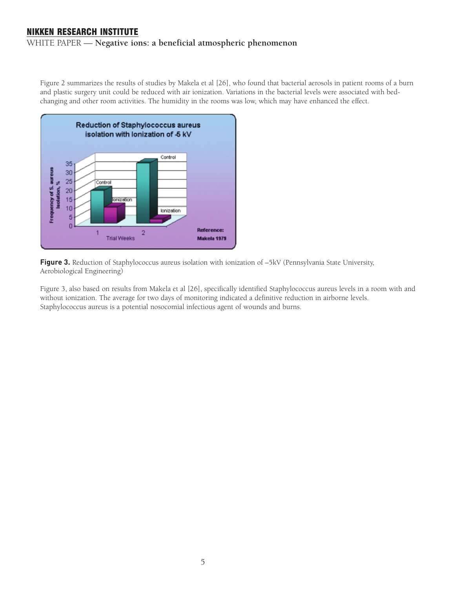#### WHITE PAPER — **Negative ions: a beneficial atmospheric phenomenon**

Figure 2 summarizes the results of studies by Makela et al [26], who found that bacterial aerosols in patient rooms of a burn and plastic surgery unit could be reduced with air ionization. Variations in the bacterial levels were associated with bedchanging and other room activities. The humidity in the rooms was low, which may have enhanced the effect.



Figure 3. Reduction of Staphylococcus aureus isolation with ionization of  $-5kV$  (Pennsylvania State University, Aerobiological Engineering)

Figure 3, also based on results from Makela et al [26], specifically identified Staphylococcus aureus levels in a room with and without ionization. The average for two days of monitoring indicated a definitive reduction in airborne levels. Staphylococcus aureus is a potential nosocomial infectious agent of wounds and burns.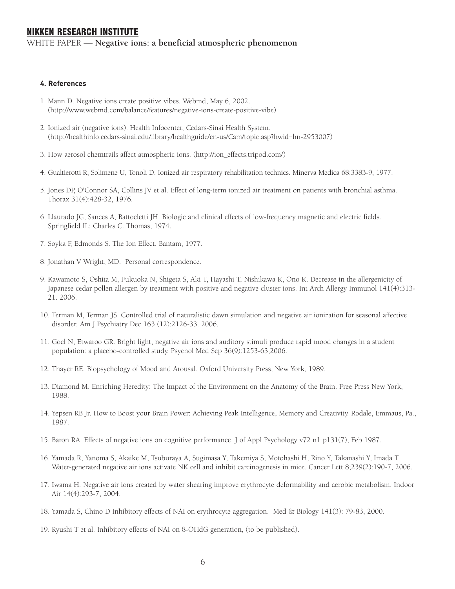WHITE PAPER — **Negative ions: a beneficial atmospheric phenomenon**

#### **4. References**

- 1. Mann D. Negative ions create positive vibes. Webmd, May 6, 2002. (http://www.webmd.com/balance/features/negative-ions-create-positive-vibe)
- 2. Ionized air (negative ions). Health Infocenter, Cedars-Sinai Health System. (http://healthinfo.cedars-sinai.edu/library/healthguide/en-us/Cam/topic.asp?hwid=hn-2953007)
- 3. How aerosol chemtrails affect atmospheric ions. (http://ion\_effects.tripod.com/)
- 4. Gualtierotti R, Solimene U, Tonoli D. Ionized air respiratory rehabilitation technics. Minerva Medica 68:3383-9, 1977.
- 5. Jones DP, O'Connor SA, Collins JV et al. Effect of long-term ionized air treatment on patients with bronchial asthma. Thorax 31(4):428-32, 1976.
- 6. Llaurado JG, Sances A, Battocletti JH. Biologic and clinical effects of low-frequency magnetic and electric fields. Springfield IL: Charles C. Thomas, 1974.
- 7. Soyka F, Edmonds S. The Ion Effect. Bantam, 1977.
- 8. Jonathan V Wright, MD. Personal correspondence.
- 9. Kawamoto S, Oshita M, Fukuoka N, Shigeta S, Aki T, Hayashi T, Nishikawa K, Ono K. Decrease in the allergenicity of Japanese cedar pollen allergen by treatment with positive and negative cluster ions. Int Arch Allergy Immunol 141(4):313- 21. 2006.
- 10. Terman M, Terman JS. Controlled trial of naturalistic dawn simulation and negative air ionization for seasonal affective disorder. Am J Psychiatry Dec 163 (12):2126-33. 2006.
- 11. Goel N, Etwaroo GR. Bright light, negative air ions and auditory stimuli produce rapid mood changes in a student population: a placebo-controlled study. Psychol Med Sep 36(9):1253-63,2006.
- 12. Thayer RE. Biopsychology of Mood and Arousal. Oxford University Press, New York, 1989.
- 13. Diamond M. Enriching Heredity: The Impact of the Environment on the Anatomy of the Brain. Free Press New York, 1988.
- 14. Yepsen RB Jr. How to Boost your Brain Power: Achieving Peak Intelligence, Memory and Creativity. Rodale, Emmaus, Pa., 1987.
- 15. Baron RA. Effects of negative ions on cognitive performance. J of Appl Psychology v72 n1 p131(7), Feb 1987.
- 16. Yamada R, Yanoma S, Akaike M, Tsuburaya A, Sugimasa Y, Takemiya S, Motohashi H, Rino Y, Takanashi Y, Imada T. Water-generated negative air ions activate NK cell and inhibit carcinogenesis in mice. Cancer Lett 8;239(2):190-7, 2006.
- 17. Iwama H. Negative air ions created by water shearing improve erythrocyte deformability and aerobic metabolism. Indoor Air 14(4):293-7, 2004.
- 18. Yamada S, Chino D Inhibitory effects of NAI on erythrocyte aggregation. Med & Biology 141(3): 79-83, 2000.
- 19. Ryushi T et al. Inhibitory effects of NAI on 8-OHdG generation, (to be published).